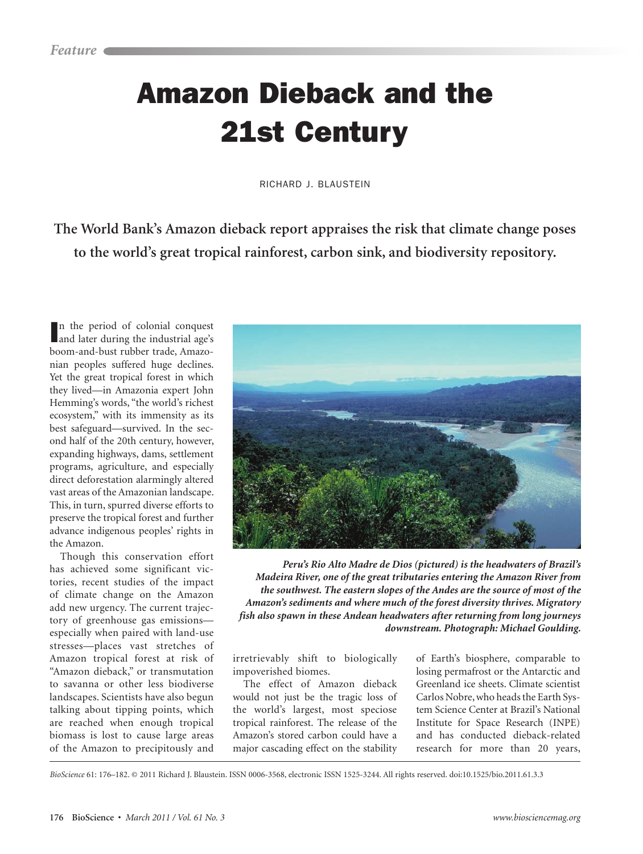# Amazon Dieback and the 21st Century

Richard J. Blaustein

**The World Bank's Amazon dieback report appraises the risk that climate change poses to the world's great tropical rainforest, carbon sink, and biodiversity repository.**

In the period of colonial conquest<br>and later during the industrial age's n the period of colonial conquest boom-and-bust rubber trade, Amazonian peoples suffered huge declines. Yet the great tropical forest in which they lived—in Amazonia expert John Hemming's words, "the world's richest ecosystem," with its immensity as its best safeguard—survived. In the second half of the 20th century, however, expanding highways, dams, settlement programs, agriculture, and especially direct deforestation alarmingly altered vast areas of the Amazonian landscape. This, in turn, spurred diverse efforts to preserve the tropical forest and further advance indigenous peoples' rights in the Amazon.

Though this conservation effort has achieved some significant victories, recent studies of the impact of climate change on the Amazon add new urgency. The current trajectory of greenhouse gas emissions especially when paired with land-use stresses—places vast stretches of Amazon tropical forest at risk of "Amazon dieback," or transmutation to savanna or other less biodiverse landscapes. Scientists have also begun talking about tipping points, which are reached when enough tropical biomass is lost to cause large areas of the Amazon to precipitously and



*Peru's Rio Alto Madre de Dios (pictured) is the headwaters of Brazil's Madeira River, one of the great tributaries entering the Amazon River from the southwest. The eastern slopes of the Andes are the source of most of the Amazon's sediments and where much of the forest diversity thrives. Migratory fish also spawn in these Andean headwaters after returning from long journeys downstream. Photograph: Michael Goulding.*

irretrievably shift to biologically impoverished biomes.

The effect of Amazon dieback would not just be the tragic loss of the world's largest, most speciose tropical rainforest. The release of the Amazon's stored carbon could have a major cascading effect on the stability of Earth's biosphere, comparable to losing permafrost or the Antarctic and Greenland ice sheets. Climate scientist Carlos Nobre, who heads the Earth System Science Center at Brazil's National Institute for Space Research (INPE) and has conducted dieback-related research for more than 20 years,

*BioScience* 61: 176–182. © 2011 Richard J. Blaustein. ISSN 0006-3568, electronic ISSN 1525-3244. All rights reserved. doi:10.1525/bio.2011.61.3.3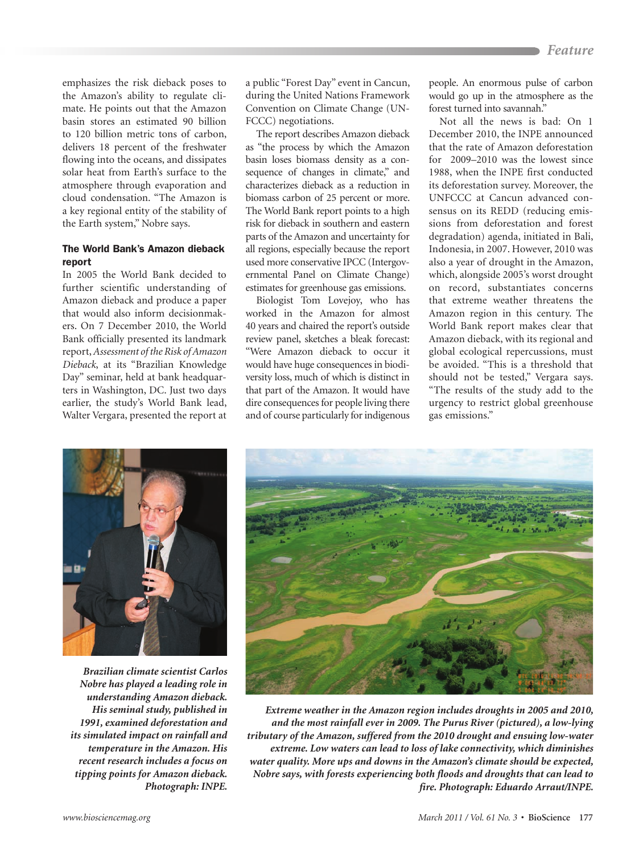emphasizes the risk dieback poses to the Amazon's ability to regulate climate. He points out that the Amazon basin stores an estimated 90 billion to 120 billion metric tons of carbon, delivers 18 percent of the freshwater flowing into the oceans, and dissipates solar heat from Earth's surface to the atmosphere through evaporation and cloud condensation. "The Amazon is a key regional entity of the stability of the Earth system," Nobre says.

### The World Bank's Amazon dieback report

In 2005 the World Bank decided to further scientific understanding of Amazon dieback and produce a paper that would also inform decisionmakers. On 7 December 2010, the World Bank officially presented its landmark report, *Assessment of the Risk of Amazon Dieback*, at its "Brazilian Knowledge Day" seminar, held at bank headquarters in Washington, DC. Just two days earlier, the study's World Bank lead, Walter Vergara, presented the report at

a public "Forest Day" event in Cancun, during the United Nations Framework Convention on Climate Change (UN-FCCC) negotiations.

The report describes Amazon dieback as "the process by which the Amazon basin loses biomass density as a consequence of changes in climate," and characterizes dieback as a reduction in biomass carbon of 25 percent or more. The World Bank report points to a high risk for dieback in southern and eastern parts of the Amazon and uncertainty for all regions, especially because the report used more conservative IPCC (Intergovernmental Panel on Climate Change) estimates for greenhouse gas emissions.

Biologist Tom Lovejoy, who has worked in the Amazon for almost 40 years and chaired the report's outside review panel, sketches a bleak forecast: "Were Amazon dieback to occur it would have huge consequences in biodiversity loss, much of which is distinct in that part of the Amazon. It would have dire consequences for people living there and of course particularly for indigenous

people. An enormous pulse of carbon would go up in the atmosphere as the forest turned into savannah."

Not all the news is bad: On 1 December 2010, the INPE announced that the rate of Amazon deforestation for 2009–2010 was the lowest since 1988, when the INPE first conducted its deforestation survey. Moreover, the UNFCCC at Cancun advanced consensus on its REDD (reducing emissions from deforestation and forest degradation) agenda, initiated in Bali, Indonesia, in 2007. However, 2010 was also a year of drought in the Amazon, which, alongside 2005's worst drought on record, substantiates concerns that extreme weather threatens the Amazon region in this century. The World Bank report makes clear that Amazon dieback, with its regional and global ecological repercussions, must be avoided. "This is a threshold that should not be tested," Vergara says. "The results of the study add to the urgency to restrict global greenhouse gas emissions."



*Brazilian climate scientist Carlos Nobre has played a leading role in understanding Amazon dieback. His seminal study, published in 1991, examined deforestation and its simulated impact on rainfall and temperature in the Amazon. His recent research includes a focus on tipping points for Amazon dieback. Photograph: INPE.*



*Extreme weather in the Amazon region includes droughts in 2005 and 2010, and the most rainfall ever in 2009. The Purus River (pictured), a low-lying tributary of the Amazon, suffered from the 2010 drought and ensuing low-water extreme. Low waters can lead to loss of lake connectivity, which diminishes water quality. More ups and downs in the Amazon's climate should be expected, Nobre says, with forests experiencing both floods and droughts that can lead to fire. Photograph: Eduardo Arraut/INPE.*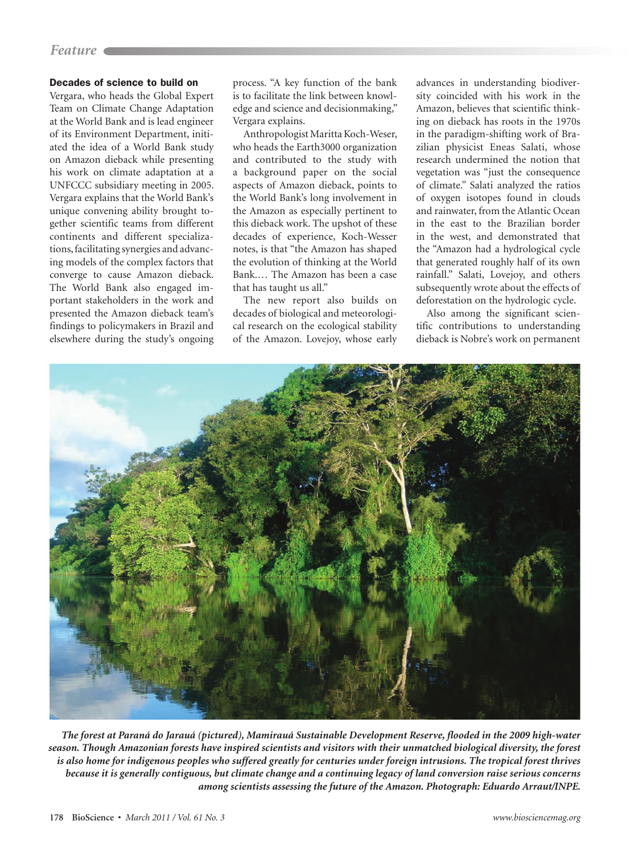#### Decades of science to build on

Vergara, who heads the Global Expert Team on Climate Change Adaptation at the World Bank and is lead engineer of its Environment Department, initiated the idea of a World Bank study on Amazon dieback while presenting his work on climate adaptation at a UNFCCC subsidiary meeting in 2005. Vergara explains that the World Bank's unique convening ability brought together scientific teams from different continents and different specializations, facilitating synergies and advancing models of the complex factors that converge to cause Amazon dieback. The World Bank also engaged important stakeholders in the work and presented the Amazon dieback team's findings to policymakers in Brazil and elsewhere during the study's ongoing process. "A key function of the bank is to facilitate the link between knowledge and science and decisionmaking," Vergara explains.

Anthropologist Maritta Koch-Weser, who heads the Earth3000 organization and contributed to the study with a background paper on the social aspects of Amazon dieback, points to the World Bank's long involvement in the Amazon as especially pertinent to this dieback work. The upshot of these decades of experience, Koch-Wesser notes, is that "the Amazon has shaped the evolution of thinking at the World Bank.… The Amazon has been a case that has taught us all."

The new report also builds on decades of biological and meteorological research on the ecological stability of the Amazon. Lovejoy, whose early advances in understanding biodiversity coincided with his work in the Amazon, believes that scientific thinking on dieback has roots in the 1970s in the paradigm-shifting work of Brazilian physicist Eneas Salati, whose research undermined the notion that vegetation was "just the consequence of climate." Salati analyzed the ratios of oxygen isotopes found in clouds and rainwater, from the Atlantic Ocean in the east to the Brazilian border in the west, and demonstrated that the "Amazon had a hydrological cycle that generated roughly half of its own rainfall." Salati, Lovejoy, and others subsequently wrote about the effects of deforestation on the hydrologic cycle.

Also among the significant scientific contributions to understanding dieback is Nobre's work on permanent



*The forest at Paraná do Jarauá (pictured), Mamirauá Sustainable Development Reserve, flooded in the 2009 high-water season. Though Amazonian forests have inspired scientists and visitors with their unmatched biological diversity, the forest is also home for indigenous peoples who suffered greatly for centuries under foreign intrusions. The tropical forest thrives because it is generally contiguous, but climate change and a continuing legacy of land conversion raise serious concerns among scientists assessing the future of the Amazon. Photograph: Eduardo Arraut/INPE.*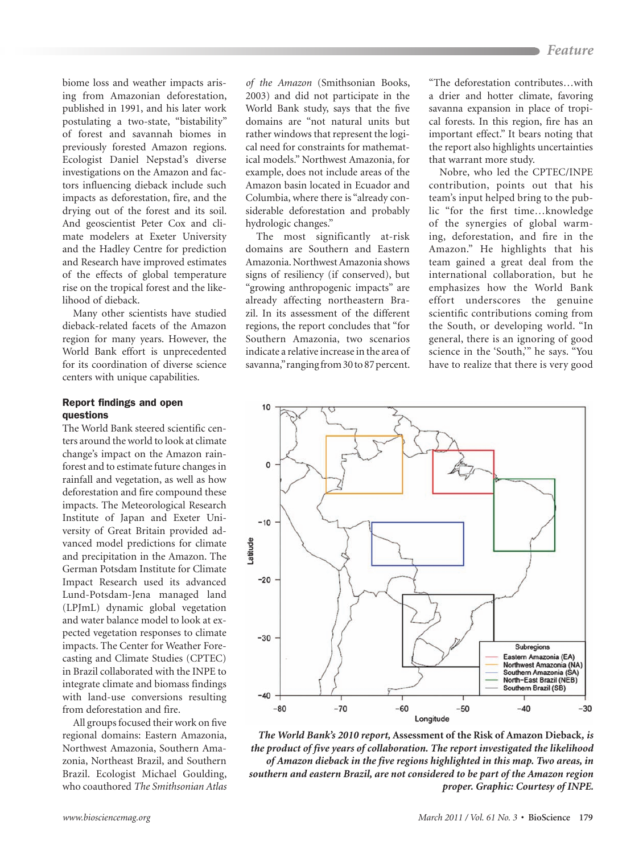biome loss and weather impacts arising from Amazonian deforestation, published in 1991, and his later work postulating a two-state, "bistability" of forest and savannah biomes in previously forested Amazon regions. Ecologist Daniel Nepstad's diverse investigations on the Amazon and factors influencing dieback include such impacts as deforestation, fire, and the drying out of the forest and its soil. And geoscientist Peter Cox and climate modelers at Exeter University and the Hadley Centre for prediction and Research have improved estimates of the effects of global temperature rise on the tropical forest and the likelihood of dieback.

Many other scientists have studied dieback-related facets of the Amazon region for many years. However, the World Bank effort is unprecedented for its coordination of diverse science centers with unique capabilities.

#### Report findings and open questions

The World Bank steered scientific centers around the world to look at climate change's impact on the Amazon rainforest and to estimate future changes in rainfall and vegetation, as well as how deforestation and fire compound these impacts. The Meteorological Research Institute of Japan and Exeter University of Great Britain provided advanced model predictions for climate and precipitation in the Amazon. The German Potsdam Institute for Climate Impact Research used its advanced Lund-Potsdam-Jena managed land (LPJmL) dynamic global vegetation and water balance model to look at expected vegetation responses to climate impacts. The Center for Weather Forecasting and Climate Studies (CPTEC) in Brazil collaborated with the INPE to integrate climate and biomass findings with land-use conversions resulting from deforestation and fire.

All groups focused their work on five regional domains: Eastern Amazonia, Northwest Amazonia, Southern Amazonia, Northeast Brazil, and Southern Brazil. Ecologist Michael Goulding, who coauthored *The Smithsonian Atlas* 

*of the Amazon* (Smithsonian Books, 2003) and did not participate in the World Bank study, says that the five domains are "not natural units but rather windows that represent the logical need for constraints for mathematical models." Northwest Amazonia, for example, does not include areas of the Amazon basin located in Ecuador and Columbia, where there is "already considerable deforestation and probably hydrologic changes."

The most significantly at-risk domains are Southern and Eastern Amazonia. Northwest Amazonia shows signs of resiliency (if conserved), but "growing anthropogenic impacts" are already affecting northeastern Brazil. In its assessment of the different regions, the report concludes that "for Southern Amazonia, two scenarios indicate a relative increase in the area of savanna," ranging from 30 to 87 percent. "The deforestation contributes…with a drier and hotter climate, favoring savanna expansion in place of tropical forests. In this region, fire has an important effect." It bears noting that the report also highlights uncertainties that warrant more study.

Nobre, who led the CPTEC/INPE contribution, points out that his team's input helped bring to the public "for the first time…knowledge of the synergies of global warming, deforestation, and fire in the Amazon." He highlights that his team gained a great deal from the international collaboration, but he emphasizes how the World Bank effort underscores the genuine scientific contributions coming from the South, or developing world. "In general, there is an ignoring of good science in the 'South,'" he says. "You have to realize that there is very good



*The World Bank's 2010 report,* **Assessment of the Risk of Amazon Dieback***, is the product of five years of collaboration. The report investigated the likelihood of Amazon dieback in the five regions highlighted in this map. Two areas, in southern and eastern Brazil, are not considered to be part of the Amazon region proper. Graphic: Courtesy of INPE.*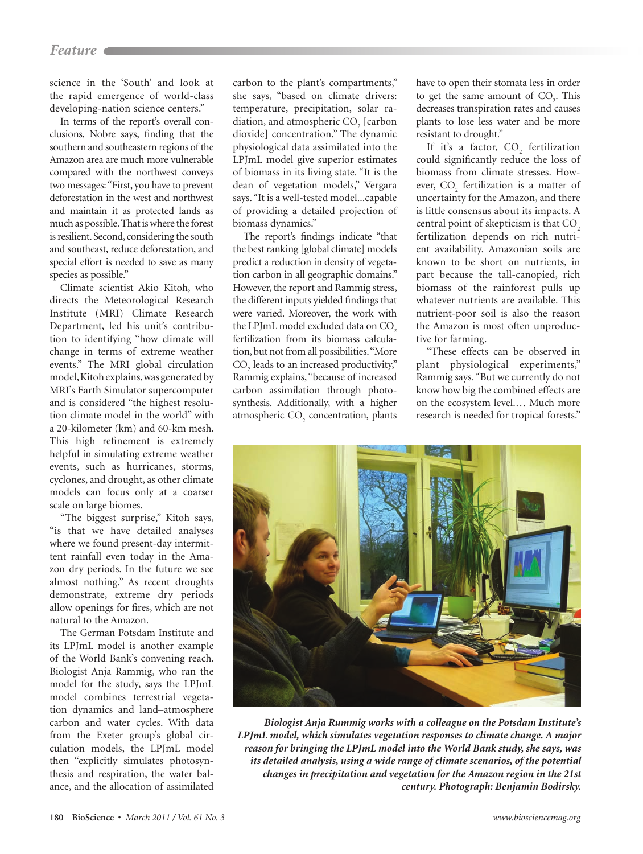## *Feature Feature*

science in the 'South' and look at the rapid emergence of world-class developing-nation science centers."

In terms of the report's overall conclusions, Nobre says, finding that the southern and southeastern regions of the Amazon area are much more vulnerable compared with the northwest conveys two messages: "First, you have to prevent deforestation in the west and northwest and maintain it as protected lands as much as possible. That is where the forest is resilient. Second, considering the south and southeast, reduce deforestation, and special effort is needed to save as many species as possible."

Climate scientist Akio Kitoh, who directs the Meteorological Research Institute (MRI) Climate Research Department, led his unit's contribution to identifying "how climate will change in terms of extreme weather events." The MRI global circulation model, Kitoh explains, was generated by MRI's Earth Simulator supercomputer and is considered "the highest resolution climate model in the world" with a 20-kilometer (km) and 60-km mesh. This high refinement is extremely helpful in simulating extreme weather events, such as hurricanes, storms, cyclones, and drought, as other climate models can focus only at a coarser scale on large biomes.

"The biggest surprise," Kitoh says, "is that we have detailed analyses where we found present-day intermittent rainfall even today in the Amazon dry periods. In the future we see almost nothing." As recent droughts demonstrate, extreme dry periods allow openings for fires, which are not natural to the Amazon.

The German Potsdam Institute and its LPJmL model is another example of the World Bank's convening reach. Biologist Anja Rammig, who ran the model for the study, says the LPJmL model combines terrestrial vegetation dynamics and land–atmosphere carbon and water cycles. With data from the Exeter group's global circulation models, the LPJmL model then "explicitly simulates photosynthesis and respiration, the water balance, and the allocation of assimilated

carbon to the plant's compartments," she says, "based on climate drivers: temperature, precipitation, solar radiation, and atmospheric  $\mathrm{CO}_2^-$  [carbon dioxide] concentration." The dynamic physiological data assimilated into the LPJmL model give superior estimates of biomass in its living state. "It is the dean of vegetation models," Vergara says. "It is a well-tested model...capable of providing a detailed projection of biomass dynamics."

The report's findings indicate "that the best ranking [global climate] models predict a reduction in density of vegetation carbon in all geographic domains." However, the report and Rammig stress, the different inputs yielded findings that were varied. Moreover, the work with the LPJmL model excluded data on CO<sub>2</sub> fertilization from its biomass calculation, but not from all possibilities. "More  $CO<sub>2</sub>$  leads to an increased productivity," Rammig explains, "because of increased carbon assimilation through photosynthesis. Additionally, with a higher atmospheric  $CO<sub>2</sub>$  concentration, plants have to open their stomata less in order to get the same amount of  $CO<sub>2</sub>$ . This decreases transpiration rates and causes plants to lose less water and be more resistant to drought."

If it's a factor,  $CO<sub>2</sub>$  fertilization could significantly reduce the loss of biomass from climate stresses. However,  $CO<sub>2</sub>$  fertilization is a matter of uncertainty for the Amazon, and there is little consensus about its impacts. A central point of skepticism is that  $CO<sub>2</sub>$ fertilization depends on rich nutrient availability. Amazonian soils are known to be short on nutrients, in part because the tall-canopied, rich biomass of the rainforest pulls up whatever nutrients are available. This nutrient-poor soil is also the reason the Amazon is most often unproductive for farming.

"These effects can be observed in plant physiological experiments," Rammig says. "But we currently do not know how big the combined effects are on the ecosystem level.… Much more research is needed for tropical forests."



*Biologist Anja Rummig works with a colleague on the Potsdam Institute's LPJmL model, which simulates vegetation responses to climate change. A major reason for bringing the LPJmL model into the World Bank study, she says, was its detailed analysis, using a wide range of climate scenarios, of the potential changes in precipitation and vegetation for the Amazon region in the 21st century. Photograph: Benjamin Bodirsky.*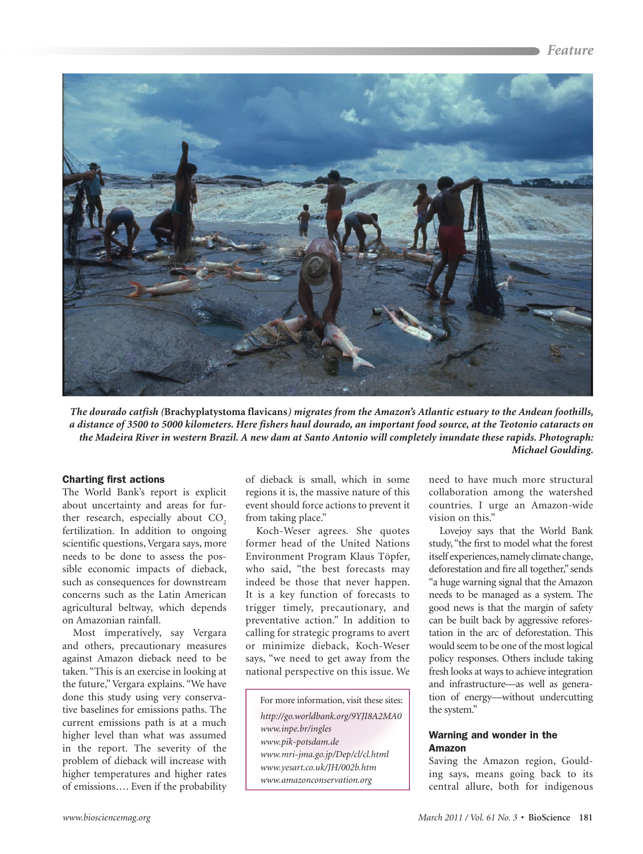

*The dourado catfish (***Brachyplatystoma flavicans***) migrates from the Amazon's Atlantic estuary to the Andean foothills, a distance of 3500 to 5000 kilometers. Here fishers haul dourado, an important food source, at the Teotonio cataracts on the Madeira River in western Brazil. A new dam at Santo Antonio will completely inundate these rapids. Photograph: Michael Goulding.*

#### Charting first actions

The World Bank's report is explicit about uncertainty and areas for further research, especially about  $CO<sub>2</sub>$ fertilization. In addition to ongoing scientific questions, Vergara says, more needs to be done to assess the possible economic impacts of dieback, such as consequences for downstream concerns such as the Latin American agricultural beltway, which depends on Amazonian rainfall.

Most imperatively, say Vergara and others, precautionary measures against Amazon dieback need to be taken. "This is an exercise in looking at the future," Vergara explains. "We have done this study using very conservative baselines for emissions paths. The current emissions path is at a much higher level than what was assumed in the report. The severity of the problem of dieback will increase with higher temperatures and higher rates of emissions…. Even if the probability

of dieback is small, which in some regions it is, the massive nature of this event should force actions to prevent it from taking place."

Koch-Weser agrees. She quotes former head of the United Nations Environment Program Klaus Töpfer, who said, "the best forecasts may indeed be those that never happen. It is a key function of forecasts to trigger timely, precautionary, and preventative action." In addition to calling for strategic programs to avert or minimize dieback, Koch-Weser says, "we need to get away from the national perspective on this issue. We

For more information, visit these sites: *http://go.worldbank.org/9YJI8A2MA0 www.inpe.br/ingles www.pik-potsdam.de www.mri-jma.go.jp/Dep/cl/cl.html www.yesart.co.uk/JH/002b.htm www.amazonconservation.org*

need to have much more structural collaboration among the watershed countries. I urge an Amazon-wide vision on this."

Lovejoy says that the World Bank study, "the first to model what the forest itself experiences, namely climate change, deforestation and fire all together," sends "a huge warning signal that the Amazon needs to be managed as a system. The good news is that the margin of safety can be built back by aggressive reforestation in the arc of deforestation. This would seem to be one of the most logical policy responses. Others include taking fresh looks at ways to achieve integration and infrastructure—as well as generation of energy—without undercutting the system."

#### Warning and wonder in the Amazon

Saving the Amazon region, Goulding says, means going back to its central allure, both for indigenous